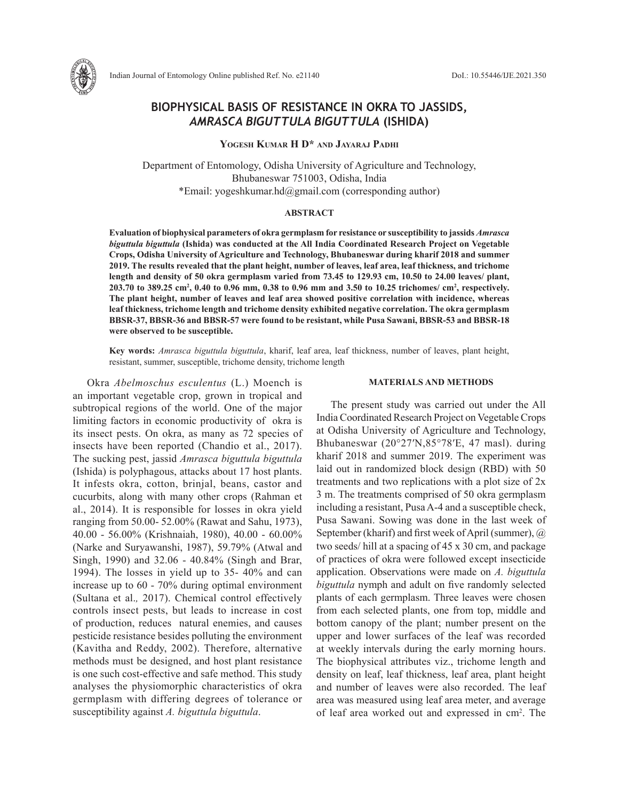

# **BIOPHYSICAL BASIS OF RESISTANCE IN OKRA TO JASSIDS,**  *AMRASCA BIGUTTULA BIGUTTULA* **(ISHIDA)**

**Yogesh Kumar H D\* and Jayaraj Padhi**

Department of Entomology, Odisha University of Agriculture and Technology, Bhubaneswar 751003, Odisha, India \*Email: yogeshkumar.hd@gmail.com (corresponding author)

## **ABSTRACT**

**Evaluation of biophysical parameters of okra germplasm for resistance or susceptibility to jassids** *Amrasca biguttula biguttula* **(Ishida) was conducted at the All India Coordinated Research Project on Vegetable Crops, Odisha University of Agriculture and Technology, Bhubaneswar during kharif 2018 and summer 2019. The results revealed that the plant height, number of leaves, leaf area, leaf thickness, and trichome length and density of 50 okra germplasm varied from 73.45 to 129.93 cm, 10.50 to 24.00 leaves/ plant,**  203.70 to 389.25 cm<sup>2</sup>, 0.40 to 0.96 mm, 0.38 to 0.96 mm and 3.50 to 10.25 trichomes/ cm<sup>2</sup>, respectively. **The plant height, number of leaves and leaf area showed positive correlation with incidence, whereas leaf thickness, trichome length and trichome density exhibited negative correlation. The okra germplasm BBSR-37, BBSR-36 and BBSR-57 were found to be resistant, while Pusa Sawani, BBSR-53 and BBSR-18 were observed to be susceptible.**

**Key words:** *Amrasca biguttula biguttula*, kharif, leaf area, leaf thickness, number of leaves, plant height, resistant, summer, susceptible, trichome density, trichome length

Okra *Abelmoschus esculentus* (L.) Moench is an important vegetable crop, grown in tropical and subtropical regions of the world. One of the major limiting factors in economic productivity of okra is its insect pests. On okra, as many as 72 species of insects have been reported (Chandio et al., 2017). The sucking pest, jassid *Amrasca biguttula biguttula* (Ishida) is polyphagous, attacks about 17 host plants. It infests okra, cotton, brinjal, beans, castor and cucurbits, along with many other crops (Rahman et al., 2014). It is responsible for losses in okra yield ranging from 50.00- 52.00% (Rawat and Sahu, 1973), 40.00 - 56.00% (Krishnaiah, 1980), 40.00 - 60.00% (Narke and Suryawanshi, 1987), 59.79% (Atwal and Singh, 1990) and 32.06 - 40.84% (Singh and Brar, 1994). The losses in yield up to 35- 40% and can increase up to 60 - 70% during optimal environment (Sultana et al.*,* 2017). Chemical control effectively controls insect pests, but leads to increase in cost of production, reduces natural enemies, and causes pesticide resistance besides polluting the environment (Kavitha and Reddy, 2002). Therefore, alternative methods must be designed, and host plant resistance is one such cost-effective and safe method. This study analyses the physiomorphic characteristics of okra germplasm with differing degrees of tolerance or susceptibility against *A. biguttula biguttula*.

#### **MATERIALS AND METHODS**

The present study was carried out under the All India Coordinated Research Project on Vegetable Crops at Odisha University of Agriculture and Technology, Bhubaneswar (20°27′N,85°78′E, 47 masl). during kharif 2018 and summer 2019. The experiment was laid out in randomized block design (RBD) with 50 treatments and two replications with a plot size of 2x 3 m. The treatments comprised of 50 okra germplasm including a resistant, Pusa A-4 and a susceptible check, Pusa Sawani. Sowing was done in the last week of September (kharif) and first week of April (summer), @ two seeds/ hill at a spacing of 45 x 30 cm, and package of practices of okra were followed except insecticide application. Observations were made on *A. biguttula biguttula* nymph and adult on five randomly selected plants of each germplasm. Three leaves were chosen from each selected plants, one from top, middle and bottom canopy of the plant; number present on the upper and lower surfaces of the leaf was recorded at weekly intervals during the early morning hours. The biophysical attributes viz., trichome length and density on leaf, leaf thickness, leaf area, plant height and number of leaves were also recorded. The leaf area was measured using leaf area meter, and average of leaf area worked out and expressed in cm2 . The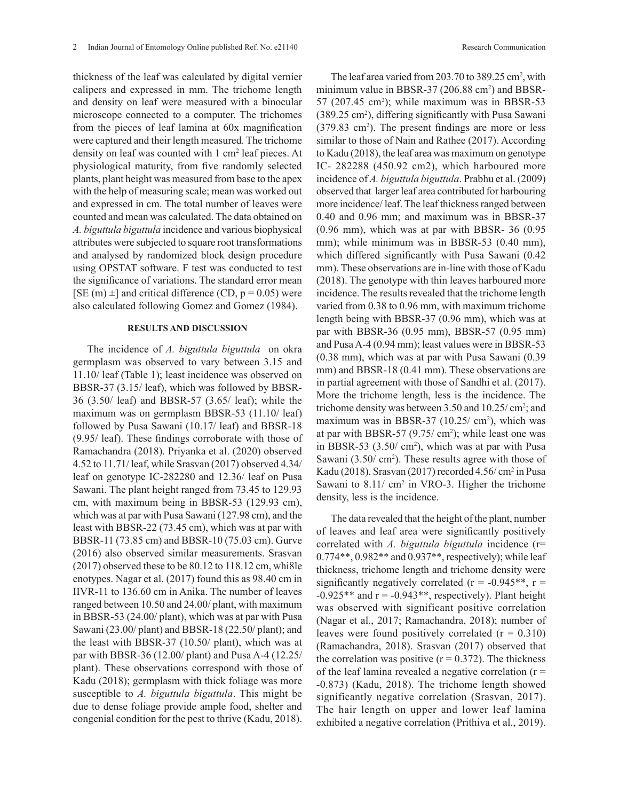thickness of the leaf was calculated by digital vernier calipers and expressed in mm. The trichome length and density on leaf were measured with a binocular microscope connected to a computer. The trichomes from the pieces of leaf lamina at 60x magnification were captured and their length measured. The trichome density on leaf was counted with 1 cm<sup>2</sup> leaf pieces. At physiological maturity, from five randomly selected plants, plant height was measured from base to the apex with the help of measuring scale; mean was worked out and expressed in cm. The total number of leaves were counted and mean was calculated. The data obtained on *A. biguttula biguttula* incidence and various biophysical attributes were subjected to square root transformations and analysed by randomized block design procedure using OPSTAT software. F test was conducted to test the significance of variations. The standard error mean [SE (m)  $\pm$ ] and critical difference (CD, p = 0.05) were also calculated following Gomez and Gomez (1984).

### **RESULTS AND DISCUSSION**

The incidence of *A. biguttula biguttula* on okra germplasm was observed to vary between 3.15 and 11.10/ leaf (Table 1); least incidence was observed on BBSR-37 (3.15/ leaf), which was followed by BBSR-36 (3.50/ leaf) and BBSR-57 (3.65/ leaf); while the maximum was on germplasm BBSR-53 (11.10/ leaf) followed by Pusa Sawani (10.17/ leaf) and BBSR-18 (9.95/ leaf). These findings corroborate with those of Ramachandra (2018). Priyanka et al. (2020) observed 4.52 to 11.71/ leaf, while Srasvan (2017) observed 4.34/ leaf on genotype IC-282280 and 12.36/ leaf on Pusa Sawani. The plant height ranged from 73.45 to 129.93 cm, with maximum being in BBSR-53 (129.93 cm), which was at par with Pusa Sawani (127.98 cm), and the least with BBSR-22 (73.45 cm), which was at par with BBSR-11 (73.85 cm) and BBSR-10 (75.03 cm). Gurve (2016) also observed similar measurements. Srasvan (2017) observed these to be 80.12 to 118.12 cm, whi8le enotypes. Nagar et al. (2017) found this as 98.40 cm in IIVR-11 to 136.60 cm in Anika. The number of leaves ranged between 10.50 and 24.00/ plant, with maximum in BBSR-53 (24.00/ plant), which was at par with Pusa Sawani (23.00/ plant) and BBSR-18 (22.50/ plant); and the least with BBSR-37 (10.50/ plant), which was at par with BBSR-36 (12.00/ plant) and Pusa A-4 (12.25/ plant). These observations correspond with those of Kadu (2018); germplasm with thick foliage was more susceptible to *A. biguttula biguttula*. This might be due to dense foliage provide ample food, shelter and congenial condition for the pest to thrive (Kadu, 2018).

The leaf area varied from  $203.70$  to  $389.25$  cm<sup>2</sup>, with minimum value in BBSR-37 (206.88 cm<sup>2</sup>) and BBSR- $57$  (207.45 cm<sup>2</sup>); while maximum was in BBSR-53 (389.25 cm2 ), differing significantly with Pusa Sawani (379.83 cm2 ). The present findings are more or less similar to those of Nain and Rathee (2017). According to Kadu (2018), the leaf area was maximum on genotype IC- 282288 (450.92 cm2), which harboured more incidence of *A. biguttula biguttula*. Prabhu et al. (2009) observed that larger leaf area contributed for harbouring more incidence/ leaf. The leaf thickness ranged between 0.40 and 0.96 mm; and maximum was in BBSR-37 (0.96 mm), which was at par with BBSR- 36 (0.95 mm); while minimum was in BBSR-53 (0.40 mm), which differed significantly with Pusa Sawani (0.42 mm). These observations are in-line with those of Kadu (2018). The genotype with thin leaves harboured more incidence. The results revealed that the trichome length varied from 0.38 to 0.96 mm, with maximum trichome length being with BBSR-37 (0.96 mm), which was at par with BBSR-36 (0.95 mm), BBSR-57 (0.95 mm) and Pusa A-4 (0.94 mm); least values were in BBSR-53 (0.38 mm), which was at par with Pusa Sawani (0.39 mm) and BBSR-18 (0.41 mm). These observations are in partial agreement with those of Sandhi et al. (2017). More the trichome length, less is the incidence. The trichome density was between  $3.50$  and  $10.25/cm^2$ ; and maximum was in BBSR-37  $(10.25/\text{ cm}^2)$ , which was at par with BBSR-57  $(9.75/\text{ cm}^2)$ ; while least one was in BBSR-53  $(3.50/\text{ cm}^2)$ , which was at par with Pusa Sawani  $(3.50/\text{ cm}^2)$ . These results agree with those of Kadu (2018). Srasvan (2017) recorded 4.56/ cm<sup>2</sup> in Pusa Sawani to  $8.11$ / cm<sup>2</sup> in VRO-3. Higher the trichome density, less is the incidence.

The data revealed that the height of the plant, number of leaves and leaf area were significantly positively correlated with *A. biguttula biguttula* incidence (r=  $0.774**$ ,  $0.982**$  and  $0.937**$ , respectively); while leaf thickness, trichome length and trichome density were significantly negatively correlated ( $r = -0.945**$ ,  $r =$  $-0.925**$  and  $r = -0.943**$ , respectively). Plant height was observed with significant positive correlation (Nagar et al., 2017; Ramachandra, 2018); number of leaves were found positively correlated  $(r = 0.310)$ (Ramachandra, 2018). Srasvan (2017) observed that the correlation was positive  $(r = 0.372)$ . The thickness of the leaf lamina revealed a negative correlation  $(r =$ -0.873) (Kadu, 2018). The trichome length showed significantly negative correlation (Srasvan, 2017). The hair length on upper and lower leaf lamina exhibited a negative correlation (Prithiva et al., 2019).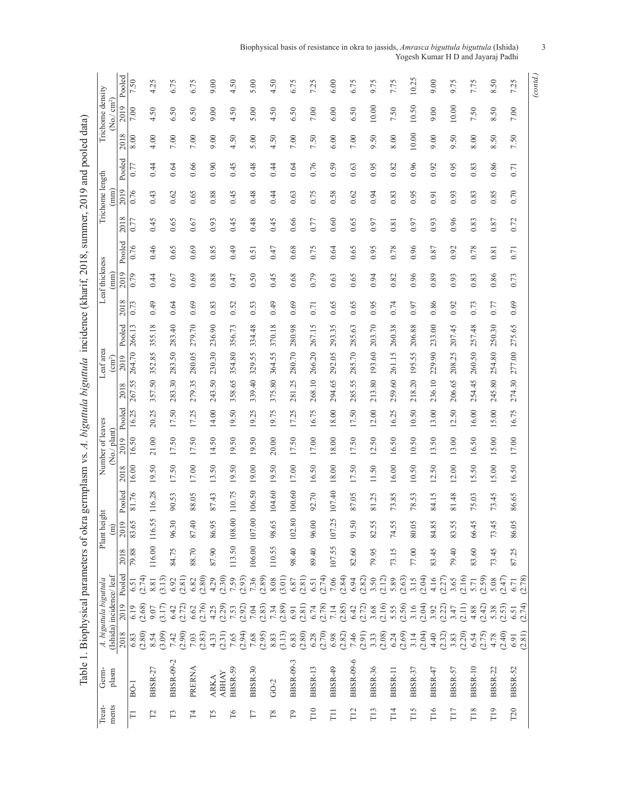| Biophysical basis of resistance in okra to jassids, <i>Amrasca biguttula biguttula</i> (Ishida) |  |
|-------------------------------------------------------------------------------------------------|--|
| Yogesh Kumar H D and Jayaraj Padhi                                                              |  |

|                        | Pooled                             | 7.50           |        | 4.25     | 6.75             |        | 6.75           |        | 9.00        |                  | 4.50           |        | 5.00             |        | 4.50             |        | 6.75             |                                               | 7.25             |        | 6.00             |        | 6.75             |        | 9.75             |        | 7.75           |        | 10.25           |        | 9.00           |                                | 9.75            |        | 7.75           | 8.50            | 7.25             | (contd.) |
|------------------------|------------------------------------|----------------|--------|----------|------------------|--------|----------------|--------|-------------|------------------|----------------|--------|------------------|--------|------------------|--------|------------------|-----------------------------------------------|------------------|--------|------------------|--------|------------------|--------|------------------|--------|----------------|--------|-----------------|--------|----------------|--------------------------------|-----------------|--------|----------------|-----------------|------------------|----------|
| Trichome density       | cm <sup>2</sup><br>2019<br>Χo.)    | 7.00           |        | 4.50     | 6.50             |        | 6.50           |        | 9.00        |                  | 4.50           |        | 5.00             |        | 4.50             |        | 6.50             |                                               | 7.00             |        | 6.00             |        | 6.50             |        | 10.00            |        | 7.50           |        | 10.50           |        | 9.00           |                                | 10.00           |        | 7.50           | 8.50            | 7.00             |          |
|                        | $\infty$<br>201                    | 8.00           |        | 4.00     | $7.00\,$         |        | $7.00$         |        | 9.00        |                  | 4.50           |        | 5.00             |        | 4.50             |        | 7.00             |                                               | 7.50             |        | 6.00             |        | $7.00\,$         |        | 9.50             |        | 8.00           |        | 10.00           |        | 9.00           |                                | 9.50            |        | 8.00           | 8.50            | 7.50             |          |
|                        | Pooled                             | 0.77           |        | 0.44     | 0.64             |        | 0.66           |        | 0.90        |                  | 0.45           |        | 0.48             |        | 0.44             |        | 0.64             |                                               | 0.76             |        | 0.59             |        | $0.63\,$         |        | 0.95             |        | 0.82           |        | 0.96            |        | 0.92           |                                | 0.95            |        | 0.83           | 0.86            | 0.71             |          |
| Trichome length        | 2019<br>(mm                        | 0.76           |        | 0.43     | 0.62             |        | 0.65           |        | 0.88        |                  | 0.45           |        | 0.48             |        | 0.44             |        | 0.63             |                                               | 0.75             |        | 0.58             |        | 0.62             |        | 0.94             |        | 0.83           |        | 0.95            |        | 0.91           |                                | 0.93            |        | 0.83           | 0.85            | 0.70             |          |
|                        | 2018                               | 0.77           |        | 0.45     | 0.65             |        | 0.67           |        | 0.93        |                  | 0.45           |        | 0.48             |        | 0.45             |        | 0.66             |                                               | 0.77             |        | 0.60             |        | 0.65             |        | 0.97             |        | 0.81           |        | 0.97            |        | 0.93           |                                | 0.96            |        | 0.83           | 0.87            | 0.72             |          |
|                        | Pooled                             | 0.76           |        | 0.46     | 0.65             |        | 0.69           |        | 0.85        |                  | 64.0           |        | 0.51             |        | 0.47             |        | 0.68             |                                               | 0.75             |        | 0.64             |        | 0.65             |        | 0.95             |        | 0.78           |        | 0.96            |        | 0.87           |                                | 0.92            |        | 0.78           | $0.81\,$        | 0.71             |          |
| Leaf thickness         | 2019<br>mm                         | 0.79           |        | 0.44     | 0.67             |        | 0.69           |        | 0.88        |                  | 0.47           |        | 0.50             |        | 0.45             |        | 0.68             |                                               | 0.79             |        | 0.63             |        | 0.65             |        | 0.94             |        | 0.82           |        | 0.96            |        | 0.89           |                                | 0.93            |        | 0.83           | 0.86            | 0.73             |          |
|                        | 2018                               | 0.73           |        | 64.0     | 0.64             |        | 0.69           |        | 0.83        |                  | 0.52           |        | 53<br>Ö          |        | 64.0             |        | 0.69             |                                               | 0.71             |        | 0.65             |        | 0.65             |        | 0.95             |        | 0.74           |        | 0.97            |        | 0.86           |                                | 0.92            |        | 0.73           | 0.77            | 0.69             |          |
|                        | Pooled                             | 266.13         |        | 355.18   | 283.40           |        | 279.70         |        | 236.90      |                  | 356.73         |        | 334.48           |        | 370.18           |        | 280.98           |                                               | 267.15           |        | 293.35           |        | 285.63           |        | 203.70           |        | 260.38         |        | 206.88          |        | 233.00         |                                | 207.45          |        | 257.48         | 250.30          | 275.65           |          |
| Leaf area              | 2019<br>$\rm (cm^2)$               | 264.70         |        | 352.85   | 283.50           |        | 280.05         |        | 230.30      |                  | 354.80         |        | 55<br>329.       |        | 364.55           |        | 280.70           |                                               | 266.20           |        | 292.05           |        | 285.70           |        | 193.60           |        | 261.15         |        | 195.55          |        | 229.90         |                                | 208.25          |        | 260.50         | 254.80          | 277.00           |          |
|                        | 2018                               | 267.55         |        | 357.50   | 283.30           |        | 279.35         |        | 243.50      |                  | 358.65         |        | 339.40           |        | 375.80           |        | 25               |                                               | 268.10           |        | 294.65           |        | 285.55           |        | 213.80           |        | 259.60         |        | 218.20          |        | 236.10         |                                | 206.65          |        | 254.45         | 245.80          | 274.30           |          |
|                        | Pooled                             | 16.25          |        | 20.25    | 17.50            |        | 17.25          |        | 14.00       |                  | 19.50          |        | 19.25            |        | 19.75            |        | 281.<br>17.25    |                                               | 16.75            |        | 18.00            |        | 17.50            |        | 12.00            |        | 16.25          |        | 10.50           |        | 13.00          |                                | 12.50           |        | 16.00          | 15.00           | 16.75            |          |
| Number of leaves       | plant)<br>2019                     | 16.50          |        | 21.00    | 17.50            |        | 17.50          |        | 14.50       |                  | 19.50          |        | 19.50            |        | 20.00            |        | 17.50            |                                               | 17.00            |        | 18.00            |        | 17.50            |        | 12.50            |        | 16.50          |        | 10.50           |        | 13.50          |                                | 13.00           |        | 16.50          | 15.00           | 17.00            |          |
|                        | Χo,<br>2018                        | 16.00          |        | 19.50    | 17.50            |        | 17.00          |        | 13.50       |                  | 19.50          |        | 19.00            |        | 19.50            |        | 17.00            |                                               | 16.50            |        | 18.00            |        | 17.50            |        | 11.50            |        | 16.00          |        | 10.50           |        | 12.50          |                                | 12.00           |        | 15.50          | 15.00           | 16.50            |          |
|                        | Pooled                             | 81.76          |        | 116.28   | 90.53            |        | 88.05          |        | 87.43       |                  | 110.75         |        | 106.50           |        | 104.60           |        | 100.60           |                                               | 92.70            |        | 107.40           |        | 87.05            |        | 81.25            |        | 73.85          |        | 78.53           |        | 84.15          |                                | 81.48           |        | 75.03          | 73.45           | 86.65            |          |
| ght                    | 2019<br>$\widehat{E}$              |                |        | 116.55   |                  |        |                |        |             |                  | 108.00         |        | 107.00           |        |                  |        | 102.80           |                                               |                  |        |                  |        |                  |        |                  |        |                |        |                 |        |                |                                |                 |        | 66.45          |                 |                  |          |
| Plant hei              | ∞                                  | 83.65<br>79.88 |        | 116.00   | 96.30            |        | 87.40<br>88.70 |        | 86.95       |                  | 113.50         |        | 106.00           |        | 98.65<br>110.55  |        | 98.40            |                                               | 96.00<br>89.40   |        | 107.2<br>107.55  |        | 91.50<br>82.60   |        | 82.55<br>79.95   |        | 74.55<br>73.15 |        | 80.05<br>77.00  |        | 84.85<br>83.45 |                                | 83.55<br>79.40  |        | 83.60          | 73.45<br>73.45  | 86.05<br>87.25   |          |
|                        | 201                                |                |        |          | 84.75            |        |                |        | 87.90       |                  |                |        |                  |        |                  |        |                  |                                               |                  |        |                  |        |                  |        |                  |        |                |        |                 |        |                |                                |                 |        |                |                 |                  |          |
| A. biguttula biguttula | Pooled<br>(Ishida) incidence/ leaf | 6.51           | (2.74) | 8.81     | (3.13)<br>6.92   | (2.81) | 6.82           | (2.80) | 4.29        | (2.30)           | 7.59           | (2.93) | 7.36             | (2.89) | $8.08$           | (3.01) | 6.87             | (2.81)                                        | $6.51$<br>(2.74) |        | 7.06             | (2.84) | 6.94             | (2.82) | 3.50             | (2.12) | 5.89           | (2.63) | 3.15            | (2.04) | 4.16           | (2.27)                         | 3.65            | (2.16) | (2.59)<br>5.71 | (2.47)<br>5.08  | 6.71             | (2.78)   |
|                        | 2019                               | 6.19           | (2.68) | 9.07     | (3.17)<br>6.42   | (2.72) | 6.62           | (2.76) |             | $4.25$<br>(2.29) | 7.53           |        | $(2.92)$<br>7.04 | (2.83) | $7.34$<br>(2.89) |        | 6.91             | $(2.81)$<br>6.74                              |                  | (2.78) | $7.14$<br>(2.85) |        | 6.42             | (2.72) | 3.68             | (2.16) | 5.55<br>(2.56) |        | 3.16            | (2.04) | 3.92           | (2.22)                         | 3.47            | (2.11) | (2.42)<br>4.88 | (2.53)<br>5.38  | $6.51$<br>(2.74) |          |
|                        | 2018                               | 6.83           | (2.80) | 8.54     | (3.09)<br>7.42   | (2.90) | 7.03           | (2.83) | 4.33        | (2.31)           | 7.65           | (2.94) | 7.68             | (2.95) | 8.83             | (3.13) | 6.83             | $\begin{array}{c} (2.80) \\ 6.28 \end{array}$ |                  | (2.70) | 6.98             | (2.82) | $7.46$<br>(2.91) |        | 3.33             | (2.08) | 6.24           | (2.69) | 3.14            | (2.04) | 4.40           | $(2.32)$<br>$3.83$<br>$(2.20)$ |                 |        | (2.75)<br>6.54 | (2.40)<br>4.78  | 6.91             | (2.81)   |
| Germ-                  | plasm                              | $BO-1$         |        | BBSR-27  | <b>BBSR-09-2</b> |        | PRERNA         |        | <b>ARKA</b> | <b>ABHAY</b>     | <b>BBSR-59</b> |        | <b>BBSR-30</b>   |        | $GO-2$           |        | <b>BBSR-09-3</b> |                                               | BBSR-13          |        | BBSR-49          |        | <b>BBSR-09-6</b> |        | <b>BBSR-36</b>   |        | BBSR-11        |        | <b>BBSR-37</b>  |        | BBSR-47        |                                | BBSR-57         |        | <b>BBSR-10</b> | <b>BBSR-22</b>  | <b>BBSR-52</b>   |          |
| Treat-                 | ments                              | $\Box$         |        | $\Gamma$ | T3               |        | $\Gamma$ 4     |        | Τ5          |                  | T6             |        | T                |        | T8               |        | P <sub>1</sub>   |                                               | $\Gamma$ 10      |        | T <sub>1</sub>   |        | T12              |        | $\overline{113}$ |        | T14            |        | T <sub>15</sub> |        | T16            |                                | T <sub>17</sub> |        | T18            | T <sub>19</sub> | T <sub>20</sub>  |          |

Table 1. Biophysical parameters of okra germplasm vs. A. biguttula biguttula incidence (kharif, 2018, summer, 2019 and pooled data) Table 1. Biophysical parameters of okra germplasm vs. *A. biguttula biguttula* incidence (kharif*,* 2018, summer, 2019 and pooled data)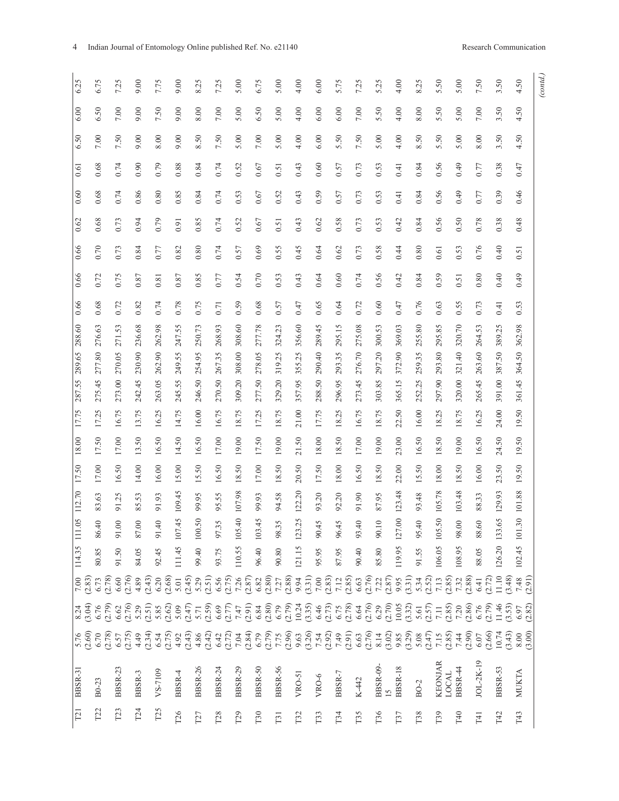| (cond.) |          |          |      |      |      |                            |      |      |        |        |        |           |       |       |                                  |        |        |        |                |                                                                                                                                                                                                                                                                                                                                                                                                                                                            |                                                                                                                                                                                                                                                                                                                                                                                                  |                                 |
|---------|----------|----------|------|------|------|----------------------------|------|------|--------|--------|--------|-----------|-------|-------|----------------------------------|--------|--------|--------|----------------|------------------------------------------------------------------------------------------------------------------------------------------------------------------------------------------------------------------------------------------------------------------------------------------------------------------------------------------------------------------------------------------------------------------------------------------------------------|--------------------------------------------------------------------------------------------------------------------------------------------------------------------------------------------------------------------------------------------------------------------------------------------------------------------------------------------------------------------------------------------------|---------------------------------|
| 4.50    | 4.50     | 4.50     | 0.47 | 0.46 | 0.48 | $\overline{51}$<br>$\circ$ | 64.0 | 0.53 | 362.98 | 364.50 | 361.45 | 50<br>19. | 19.50 | 19.50 | $88\,$<br>$\equiv$               | 101.30 | 102.45 |        |                | $7.48$<br>(2.91)                                                                                                                                                                                                                                                                                                                                                                                                                                           | $6.97$<br>(2.82)                                                                                                                                                                                                                                                                                                                                                                                 | $8.00$<br>(3.00)                |
| 3.50    | 3.50     | 3.50     | 0.38 | 0.39 | 0.38 | 0.40                       | 0.40 | 0.41 | 389.25 | 387.50 | 391.00 | 24.00     | 24.50 | 23.50 | 93<br>$\overline{2}$             | 133.65 | 126.20 |        | 11.10          | (3.48)                                                                                                                                                                                                                                                                                                                                                                                                                                                     | (3.53)<br>11.46                                                                                                                                                                                                                                                                                                                                                                                  | $(2.66)$<br>$10.74$<br>$(3.43)$ |
| 7.50    | $7.00\,$ | 8.00     | 0.77 | 0.77 | 0.78 | 0.76                       | 0.80 | 0.73 | 264.53 | 263.60 | 265.45 | 16.25     | 16.50 | 16.00 | 33<br>88                         | 88.60  |        | 88.05  |                | $6.41$<br>(2.72)                                                                                                                                                                                                                                                                                                                                                                                                                                           | $6.76$<br>(2.79)                                                                                                                                                                                                                                                                                                                                                                                 | JOL-2K-19                       |
|         |          |          |      | 64.0 |      |                            |      |      |        |        |        |           |       |       | 3.48                             |        |        |        |                |                                                                                                                                                                                                                                                                                                                                                                                                                                                            |                                                                                                                                                                                                                                                                                                                                                                                                  |                                 |
| 5.00    | 5.00     | 5.00     | 64.0 |      | 0.50 | 0.53                       | 0.51 | 0.55 | 320.70 | 321.40 | 320.00 | 18.75     | 19.00 | 18.50 | $\sum$                           | 98.00  |        | 108.95 |                |                                                                                                                                                                                                                                                                                                                                                                                                                                                            |                                                                                                                                                                                                                                                                                                                                                                                                  |                                 |
| 5.50    | 5.50     | 5.50     | 0.56 | 0.56 | 0.56 | 0.61                       | 0.59 | 0.63 | 295.85 | 293.80 | 297.90 | 18.25     | 18.50 | 18.00 | 105.78                           | 105.50 |        |        | 106.05         |                                                                                                                                                                                                                                                                                                                                                                                                                                                            |                                                                                                                                                                                                                                                                                                                                                                                                  | <b>KEONJAR</b>                  |
| 8.25    | 8.00     | 8.50     | 0.84 | 0.84 | 0.84 | 0.80                       | 0.84 | 0.76 | 255.80 | 259.35 | 252.25 | 16.00     | 16.50 | 15.50 | 48<br>93                         | 95.40  |        | 91.55  |                |                                                                                                                                                                                                                                                                                                                                                                                                                                                            |                                                                                                                                                                                                                                                                                                                                                                                                  |                                 |
| 4.00    | 4.00     | 4.00     | 0.41 | 0.41 | 0.42 | 0.44                       | 0.42 | 0.47 | 369.03 | 372.90 | 365.15 | 22.50     | 23.00 | 22.00 | 3.48<br>$\overline{5}$           | 127.00 |        |        | 119.95         |                                                                                                                                                                                                                                                                                                                                                                                                                                                            |                                                                                                                                                                                                                                                                                                                                                                                                  | <b>BBSR-18</b>                  |
|         |          |          |      |      |      |                            |      |      |        |        |        |           |       |       |                                  |        |        |        |                |                                                                                                                                                                                                                                                                                                                                                                                                                                                            |                                                                                                                                                                                                                                                                                                                                                                                                  |                                 |
| 5.25    | 5.50     | 5.00     | 0.53 | 0.53 | 0.53 | 0.58                       | 0.56 | 0.60 | 300.53 | 297.20 | 303.85 | 18.75     | 19.00 | 18.50 | 95<br>87                         | 90.10  |        | 85.80  |                |                                                                                                                                                                                                                                                                                                                                                                                                                                                            |                                                                                                                                                                                                                                                                                                                                                                                                  | <b>BBSR-09-</b>                 |
| 7.25    | 7.00     | 7.50     | 0.73 | 0.73 | 0.73 | 0.73                       | 0.74 | 0.72 | 275.08 | 276.70 | 273.45 | 16.75     | 17.00 | 16.50 | $\overline{0}$<br>$\overline{5}$ | 93.40  |        | 90.40  |                |                                                                                                                                                                                                                                                                                                                                                                                                                                                            |                                                                                                                                                                                                                                                                                                                                                                                                  |                                 |
| 5.75    | 6.00     | 5.50     | 0.57 | 0.57 | 0.58 | 0.62                       | 0.60 | 0.64 | 295.15 | 293.35 | 296.95 | 18.25     | 18.50 | 18.00 | 20<br>92                         | 96.45  |        | 87.95  |                |                                                                                                                                                                                                                                                                                                                                                                                                                                                            |                                                                                                                                                                                                                                                                                                                                                                                                  |                                 |
| 6.00    | 6.00     | 6.00     | 0.60 | 0.59 | 0.62 | 0.64                       | 0.64 | 0.65 | 289.45 | 290.40 | 288.50 | 17.75     | 18.00 | 17.50 | 20<br>93                         | 90.45  |        | 95.95  |                |                                                                                                                                                                                                                                                                                                                                                                                                                                                            |                                                                                                                                                                                                                                                                                                                                                                                                  |                                 |
|         |          |          |      |      |      |                            |      |      |        |        |        |           |       |       |                                  |        |        |        |                |                                                                                                                                                                                                                                                                                                                                                                                                                                                            |                                                                                                                                                                                                                                                                                                                                                                                                  |                                 |
| 4.00    | 4.00     | 4.00     | 0.43 | 0.43 | 0.43 | 0.45                       | 0.43 | 0.47 | 356.60 | 355.25 | 357.95 | 21.00     | 21.50 | 20.50 | 122.20                           | 123.25 |        | 121.15 |                |                                                                                                                                                                                                                                                                                                                                                                                                                                                            |                                                                                                                                                                                                                                                                                                                                                                                                  |                                 |
| 5.00    | 5.00     | 5.00     | 0.51 | 0.52 | 0.51 | 0.55                       | 0.53 | 0.57 | 324.23 | 319.25 | 329.20 | 18.75     | 19.00 | 18.50 | 58<br>$\overline{5}$             | 98.35  |        | 90.80  |                | $\begin{array}{l} \mathcal{L}_1^1 \otimes \mathcal{L}_2^2 \otimes \mathcal{L}_3^3 \otimes \mathcal{L}_4^4 \otimes \mathcal{L}_5^5 \otimes \mathcal{L}_6^5 \otimes \mathcal{L}_7^5 \otimes \mathcal{L}_8^6 \otimes \mathcal{L}_7^7 \otimes \mathcal{L}_8^7 \otimes \mathcal{L}_9^7 \otimes \mathcal{L}_9^7 \otimes \mathcal{L}_9^7 \otimes \mathcal{L}_9^7 \otimes \mathcal{L}_9^7 \otimes \mathcal{L}_9^7 \otimes \mathcal{L}_9^7 \otimes \mathcal{L}_9^7$ | $\begin{array}{l} \widehat{a_1} \; \widehat{a_2} \; \widehat{a_3} \; \widehat{a_4} \; \widehat{a_5} \; \widehat{a_6} \; \widehat{a_7} \; \widehat{a_8} \; \widehat{a_9} \; \widehat{a_9} \; \widehat{a_1} \; \widehat{a_1} \; \widehat{a_2} \; \widehat{a_3} \; \widehat{a_4} \; \widehat{a_5} \; \widehat{a_6} \; \widehat{a_7} \; \widehat{a_8} \; \widehat{a_8} \; \widehat{a_9} \; \widehat$ |                                 |
| 6.75    | 6.50     | $7.00\,$ | 0.67 | 0.67 | 0.67 | 0.69                       | 0.70 | 0.68 | 277.78 | 278.05 | 277.50 | 17.25     | 17.50 | 17.00 | 93<br>99                         | 103.45 |        | 96.40  |                |                                                                                                                                                                                                                                                                                                                                                                                                                                                            |                                                                                                                                                                                                                                                                                                                                                                                                  |                                 |
| 5.00    | 5.00     | $5.00$   | 0.52 | 0.53 | 0.52 | 0.57                       | 0.54 | 0.59 | 308.60 | 308.00 | 309.20 | 18.75     | 19.00 | 18.50 | 86<br>107.                       | 105.40 |        |        | 110.55         |                                                                                                                                                                                                                                                                                                                                                                                                                                                            |                                                                                                                                                                                                                                                                                                                                                                                                  |                                 |
| 7.25    | 7.00     | 7.50     | 0.74 | 0.74 | 0.74 | 0.74                       | 0.77 | 0.71 | 268.93 | 267.35 | 270.50 | 16.75     | 17.00 | 16.50 | 55.<br>95                        | 97.35  |        | 93.75  |                |                                                                                                                                                                                                                                                                                                                                                                                                                                                            |                                                                                                                                                                                                                                                                                                                                                                                                  |                                 |
| 8.25    | 8.00     | 8.50     | 0.84 | 0.84 | 0.85 | 0.80                       | 0.85 | 0.75 | 250.73 | 254.95 | 246.50 | 16.00     | 16.50 | 15.50 | 95<br>$\overline{9}$             | 100.50 |        | 99.40  |                |                                                                                                                                                                                                                                                                                                                                                                                                                                                            |                                                                                                                                                                                                                                                                                                                                                                                                  | <b>BBSR-26</b>                  |
|         |          |          |      |      |      |                            |      |      |        |        |        |           |       |       |                                  |        |        |        |                |                                                                                                                                                                                                                                                                                                                                                                                                                                                            |                                                                                                                                                                                                                                                                                                                                                                                                  |                                 |
| 9.00    | 9.00     | 9.00     | 0.88 | 0.85 | 0.91 | 0.82                       | 0.87 | 0.78 | 247.55 | 249.55 | 245.55 | 14.75     | 14.50 | 15.00 | 109.45                           | 107.45 |        | 111.45 |                |                                                                                                                                                                                                                                                                                                                                                                                                                                                            |                                                                                                                                                                                                                                                                                                                                                                                                  |                                 |
| 7.75    | 7.50     | 8.00     | 0.79 | 0.80 | 0.79 | $0.77\,$                   | 0.81 | 0.74 | 262.98 | 262.90 | 263.05 | 16.25     | 16.50 | 16.00 | 93<br>$\overline{9}$             | 91.40  |        | 92.45  |                |                                                                                                                                                                                                                                                                                                                                                                                                                                                            |                                                                                                                                                                                                                                                                                                                                                                                                  |                                 |
| 9.00    | 9.00     | 9.00     | 0.90 | 0.86 | 0.94 | 0.84                       | 0.87 | 0.82 | 236.68 | 230.90 | 242.45 | 13.75     | 13.50 | 14.00 | 53<br>85                         | 87.00  |        | 84.05  | 4.89           |                                                                                                                                                                                                                                                                                                                                                                                                                                                            | (2.76)<br>5.29                                                                                                                                                                                                                                                                                                                                                                                   |                                 |
| 7.25    | 7.00     | 7.50     | 0.74 | 0.74 | 0.73 | 0.73                       | 0.75 | 0.72 | 271.53 | 270.05 | 273.00 | 16.75     | 17.00 | 16.50 | 25<br>$\overline{9}$             | 91.00  |        | 91.50  |                | $\begin{array}{c} (2.78) \\ 6.60 \\ (2.76) \end{array}$                                                                                                                                                                                                                                                                                                                                                                                                    | (2.79)<br>6.62                                                                                                                                                                                                                                                                                                                                                                                   |                                 |
| 6.75    | 6.50     | $7.00\,$ | 0.68 | 0.68 | 0.68 | 0.70                       | 0.72 | 0.68 | 276.63 | 277.80 | 275.45 | 17.25     | 17.50 | 17.00 | 63<br>83                         | 86.40  |        | 80.85  |                |                                                                                                                                                                                                                                                                                                                                                                                                                                                            |                                                                                                                                                                                                                                                                                                                                                                                                  |                                 |
| 6.25    | 6.00     | 6.50     | 0.61 | 0.60 | 0.62 | 0.66                       | 0.66 | 0.66 | 288.60 | 289.65 | 287.55 | 17.75     | 18.00 | 17.50 | $\frac{112.70}{2}$               | 111.05 |        |        | 114.35<br>7.00 |                                                                                                                                                                                                                                                                                                                                                                                                                                                            | (3.04)<br>8.24                                                                                                                                                                                                                                                                                                                                                                                   | (2.60)<br>5.76                  |
|         |          |          |      |      |      |                            |      |      |        |        |        |           |       |       |                                  |        |        |        |                |                                                                                                                                                                                                                                                                                                                                                                                                                                                            |                                                                                                                                                                                                                                                                                                                                                                                                  |                                 |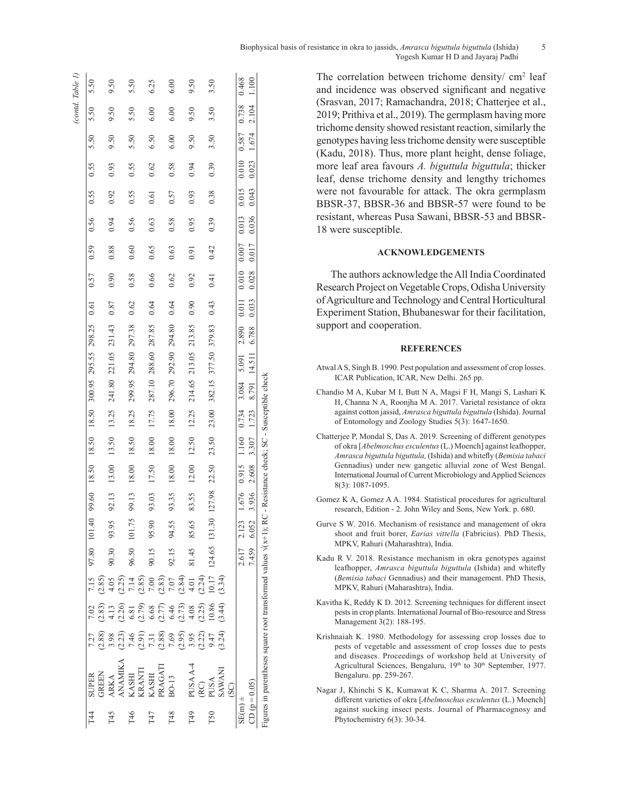| Biophysical basis of resistance in okra to jassids, <i>Amrasca biguttula biguttula</i> (Ishida) |  |
|-------------------------------------------------------------------------------------------------|--|
| Yogesh Kumar H D and Jayaraj Padhi                                                              |  |

The correlation between trichome density/ $cm<sup>2</sup>$  leaf and incidence was observed significant and negative (Srasvan, 2017; Ramachandra, 2018; Chatterjee et al., 2019; Prithiva et al., 2019). The germplasm having more trichome density showed resistant reaction, similarly the genotypes having less trichome density were susceptible (Kadu, 2018). Thus, more plant height, dense foliage, more leaf area favours *A. biguttula biguttula*; thicker leaf, dense trichome density and lengthy trichomes were not favourable for attack. The okra germplasm BBSR-37, BBSR-36 and BBSR-57 were found to be resistant, whereas Pusa Sawani, BBSR-53 and BBSR-18 were susceptible.

# **ACKNOWLEDGEMENTS**

The authors acknowledge the All India Coordinated Research Project on Vegetable Crops, Odisha University of Agriculture and Technology and Central Horticultural Experiment Station, Bhubaneswar for their facilitation, support and cooperation.

#### **REFERENCES**

- Atwal A S, Singh B. 1990. Pest population and assessment of crop losses. ICAR Publication, ICAR, New Delhi. 265 pp.
- Chandio M A, Kubar M I, Butt N A, Magsi F H, Mangi S, Lashari K H, Channa N A, Roonjha M A. 2017. Varietal resistance of okra against cotton jassid, *Amrasca biguttula biguttula* (Ishida). Journal of Entomology and Zoology Studies 5(3): 1647-1650.
- Chatterjee P, Mondal S, Das A. 2019. Screening of different genotypes of okra [*Abelmoschus esculentus* (L.) Moench] against leafhopper, *Amrasca biguttula biguttula,* (Ishida) and whitefly (*Bemisia tabaci* Gennadius) under new gangetic alluvial zone of West Bengal. International Journal of Current Microbiology and Applied Sciences 8(3): 1087-1095.
- Gomez K A, Gomez A A. 1984. Statistical procedures for agricultural research, Edition - 2. John Wiley and Sons, New York. p. 680.
- Gurve S W. 2016. Mechanism of resistance and management of okra shoot and fruit borer, *Earias vittella* (Fabricius). PhD Thesis, MPKV, Rahuri (Maharashtra), India.
- Kadu R V. 2018. Resistance mechanism in okra genotypes against leafhopper, *Amrasca biguttula biguttula* (Ishida) and whitefly (*Bemisia tabaci* Gennadius) and their management. PhD Thesis, MPKV, Rahuri (Maharashtra), India.
- Kavitha K, Reddy K D. 2012. Screening techniques for different insect pests in crop plants. International Journal of Bio-resource and Stress Management 3(2): 188-195.
- Krishnaiah K. 1980. Methodology for assessing crop losses due to pests of vegetable and assessment of crop losses due to pests and diseases. Proceedings of workshop held at University of Agricultural Sciences, Bengaluru, 19th to 30th September, 1977. Bengaluru. pp. 259-267.
- Nagar J, Khinchi S K, Kumawat K C, Sharma A. 2017. Screening different varieties of okra [*Abelmoschus esculentus* (L.) Moench] against sucking insect pests. Journal of Pharmacognosy and Phytochemistry 6(3): 30-34.

|             |                                                                                                                    |                                                                                                                                |        |                                                                                                                                                                                                                                                                                              |             |                      |       |             |       |       |        |                      |                                                                                          |       |             |      |             |      |       |       | (cond, Table I) |       |
|-------------|--------------------------------------------------------------------------------------------------------------------|--------------------------------------------------------------------------------------------------------------------------------|--------|----------------------------------------------------------------------------------------------------------------------------------------------------------------------------------------------------------------------------------------------------------------------------------------------|-------------|----------------------|-------|-------------|-------|-------|--------|----------------------|------------------------------------------------------------------------------------------|-------|-------------|------|-------------|------|-------|-------|-----------------|-------|
| Г4          | <b>SUPER</b>                                                                                                       | 7.27                                                                                                                           | 7.02   | 7.15                                                                                                                                                                                                                                                                                         |             |                      |       |             |       |       |        |                      | 97.80 101.40 99.60 18.50 18.50 300.95 295.55 298.25 0.61                                 |       | 0.57        | 0.59 | 0.56        | 0.55 | 0.55  | 5.50  | 5.50            | 5.50  |
|             | <b>GREEN</b>                                                                                                       | (2.88)                                                                                                                         |        |                                                                                                                                                                                                                                                                                              |             |                      |       |             |       |       |        |                      |                                                                                          |       |             |      |             |      |       |       |                 |       |
| T45         | ARKA                                                                                                               | 3.98                                                                                                                           |        |                                                                                                                                                                                                                                                                                              | 90.30       | 93.95                | 92.13 | 13.00       | 13.50 | 13.25 |        | 241.80 221.05 231.43 |                                                                                          | 0.87  | 0.90        | 0.88 | 0.94        | 0.92 | 0.93  | 9.50  | 9.50            | 9.50  |
|             | ANAMIKA                                                                                                            | (2.23)                                                                                                                         |        |                                                                                                                                                                                                                                                                                              |             |                      |       |             |       |       |        |                      |                                                                                          |       |             |      |             |      |       |       |                 |       |
| T46         |                                                                                                                    |                                                                                                                                |        |                                                                                                                                                                                                                                                                                              | 96.50       | 101.75               | 99.13 | 18.00       | 18.50 | 18.25 | 299.95 | 294.80 297.38        |                                                                                          | 0.62  | 0.58        | 0.60 | 0.56        | 0.55 | 0.55  | 5.50  | 5.50            | 5.50  |
|             | KASHI<br>KRANTI                                                                                                    |                                                                                                                                |        |                                                                                                                                                                                                                                                                                              |             |                      |       |             |       |       |        |                      |                                                                                          |       |             |      |             |      |       |       |                 |       |
| T47         | KASHI                                                                                                              |                                                                                                                                |        |                                                                                                                                                                                                                                                                                              | 90.15       | 95.90                | 93.03 | 17.50       | 18.00 | 17.75 |        | 287.10 288.60 287.85 |                                                                                          | 0.64  | 0.66        | 0.65 | 0.63        | 0.61 | 0.62  | 6.50  | 6.00            | 6.25  |
|             | PRAGATI                                                                                                            |                                                                                                                                |        |                                                                                                                                                                                                                                                                                              |             |                      |       |             |       |       |        |                      |                                                                                          |       |             |      |             |      |       |       |                 |       |
| T48         | BO-13                                                                                                              |                                                                                                                                |        |                                                                                                                                                                                                                                                                                              | 92.15       | 94.55                | 93.35 | 18.00       | 18.00 | 18.00 |        | 296.70 292.90 294.80 |                                                                                          | 0.64  | 0.62        | 0.63 | 0.58        | 0.57 | 0.58  | 6.00  | 6.00            | 6.00  |
|             |                                                                                                                    | $7.46$<br>$7.31$<br>$7.38$<br>$7.69$<br>$7.69$<br>$7.69$<br>$7.61$<br>$7.61$<br>$7.61$<br>$7.61$<br>$7.61$<br>$7.61$<br>$7.61$ |        | $(3, 8)$<br>$(3, 4)$<br>$(4, 6)$ $(-1, 8)$<br>$(-1, 8)$<br>$(-1, 8)$<br>$(-1, 8)$<br>$(-1, 8)$<br>$(-1, 8)$<br>$(-1, 8)$<br>$(-1, 8)$<br>$(-1, 8)$<br>$(-1, 8)$<br>$(-1, 8)$<br>$(-1, 8)$<br>$(-1, 8)$<br>$(-1, 8)$<br>$(-1, 8)$<br>$(-1, 8)$<br>$(-1, 8)$<br>$(-1, 8)$<br>$(-1, 8)$<br>$(-$ |             |                      |       |             |       |       |        |                      |                                                                                          |       |             |      |             |      |       |       |                 |       |
| T49         | PUSA A-4                                                                                                           |                                                                                                                                |        |                                                                                                                                                                                                                                                                                              | 81.45       | 85.65                | 83.55 | 12.00       | 12.50 | 12.25 | 214.65 | 213.05 213.85        |                                                                                          | 0.90  | 0.92        | 0.91 | 0.95        | 0.93 | 0.94  | 9.50  | 9.50            | 9.50  |
|             | RC)                                                                                                                |                                                                                                                                |        |                                                                                                                                                                                                                                                                                              |             |                      |       |             |       |       |        |                      |                                                                                          |       |             |      |             |      |       |       |                 |       |
| T50         | <b>PUSA</b>                                                                                                        |                                                                                                                                |        |                                                                                                                                                                                                                                                                                              |             | 124.65 131.30 127.98 |       | 22.50       | 23.50 | 23.00 |        | 382.15 377.50 379.83 |                                                                                          | 0.43  | 0.41        | 0.42 | 0.39        | 0.38 | 0.39  | 3.50  | 3.50            | 3.50  |
|             | <b>SAWANI</b>                                                                                                      |                                                                                                                                | (3.44) |                                                                                                                                                                                                                                                                                              |             |                      |       |             |       |       |        |                      |                                                                                          |       |             |      |             |      |       |       |                 |       |
|             | $\overline{\mathrm{SO}}$                                                                                           |                                                                                                                                |        |                                                                                                                                                                                                                                                                                              |             |                      |       |             |       |       |        |                      |                                                                                          |       |             |      |             |      |       |       |                 |       |
| $SE(m) \pm$ |                                                                                                                    |                                                                                                                                |        |                                                                                                                                                                                                                                                                                              | 2.617 2.123 |                      |       |             |       |       |        |                      | 1.676 0.915 0.1010 0.734 3.084 5.091 0.000 0.000 0.000 0.000 0.7 0.013 0.015 0.013 0.738 |       |             |      |             |      |       |       |                 | 0.468 |
|             | CD ( $p = 0.05$ )                                                                                                  |                                                                                                                                |        |                                                                                                                                                                                                                                                                                              | 7.459       | 6.052                | 3.936 | 2.608 3.307 |       | 1.723 |        | 8.791 14.511 6.788   |                                                                                          | 0.033 | 0.028 0.017 |      | 0.036 0.043 |      | 0.023 | 1.674 | 2.104           | 1.100 |
|             | Figures in parentheses square root transformed values $\sqrt{x+1}$ , RC - Resistance check; SC - Susceptible check |                                                                                                                                |        |                                                                                                                                                                                                                                                                                              |             |                      |       |             |       |       |        |                      |                                                                                          |       |             |      |             |      |       |       |                 |       |